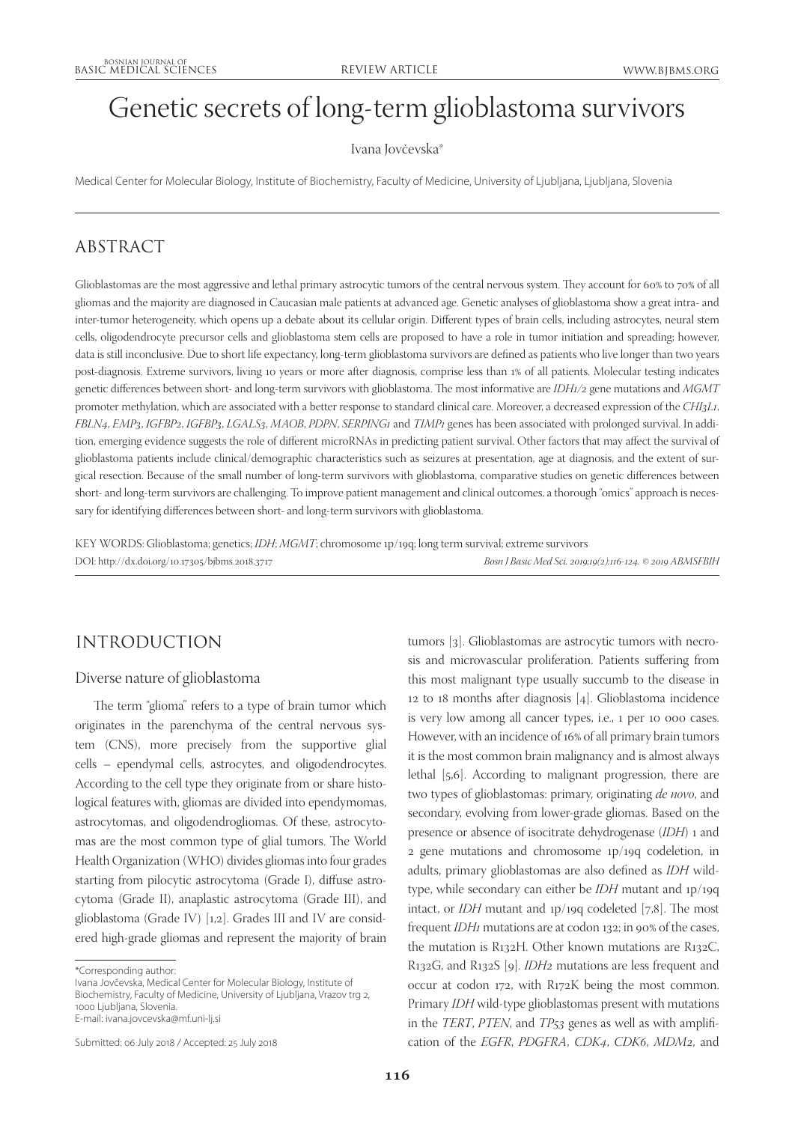# Genetic secrets of long-term glioblastoma survivors

#### Ivana Jovčevska\*

Medical Center for Molecular Biology, Institute of Biochemistry, Faculty of Medicine, University of Ljubljana, Ljubljana, Slovenia

# ABSTRACT

Glioblastomas are the most aggressive and lethal primary astrocytic tumors of the central nervous system. They account for 60% to 70% of all gliomas and the majority are diagnosed in Caucasian male patients at advanced age. Genetic analyses of glioblastoma show a great intra- and inter-tumor heterogeneity, which opens up a debate about its cellular origin. Different types of brain cells, including astrocytes, neural stem cells, oligodendrocyte precursor cells and glioblastoma stem cells are proposed to have a role in tumor initiation and spreading; however, data is still inconclusive. Due to short life expectancy, long-term glioblastoma survivors are defined as patients who live longer than two years post-diagnosis. Extreme survivors, living 10 years or more after diagnosis, comprise less than 1% of all patients. Molecular testing indicates genetic differences between short- and long-term survivors with glioblastoma. The most informative are *IDH1/2* gene mutations and *MGMT* promoter methylation, which are associated with a better response to standard clinical care. Moreover, a decreased expression of the *CHI3L1*, *FBLN4*, *EMP3*, *IGFBP2*, *IGFBP3*, *LGALS3*, *MAOB*, *PDPN*, *SERPING1* and *TIMP1* genes has been associated with prolonged survival. In addition, emerging evidence suggests the role of different microRNAs in predicting patient survival. Other factors that may affect the survival of glioblastoma patients include clinical/demographic characteristics such as seizures at presentation, age at diagnosis, and the extent of surgical resection. Because of the small number of long-term survivors with glioblastoma, comparative studies on genetic differences between short- and long-term survivors are challenging. To improve patient management and clinical outcomes, a thorough "omics" approach is necessary for identifying differences between short- and long-term survivors with glioblastoma.

KEY WORDS: Glioblastoma; genetics; *IDH*; *MGMT*; chromosome 1p/19q; long term survival; extreme survivors DOI: http://dx.doi.org/10.17305/bjbms.2018.3717 *Bosn J Basic Med Sci. 2019;19(2):116-124. © 2019 ABMSFBIH*

## INTRODUCTION

### Diverse nature of glioblastoma

The term "glioma" refers to a type of brain tumor which originates in the parenchyma of the central nervous system (CNS), more precisely from the supportive glial cells – ependymal cells, astrocytes, and oligodendrocytes. According to the cell type they originate from or share histological features with, gliomas are divided into ependymomas, astrocytomas, and oligodendrogliomas. Of these, astrocytomas are the most common type of glial tumors. The World Health Organization (WHO) divides gliomas into four grades starting from pilocytic astrocytoma (Grade I), diffuse astrocytoma (Grade II), anaplastic astrocytoma (Grade III), and glioblastoma (Grade IV) [1,2]. Grades III and IV are considered high-grade gliomas and represent the majority of brain

Ivana Jovčevska, Medical Center for Molecular Biology, Institute of Biochemistry, Faculty of Medicine, University of Ljubljana, Vrazov trg 2, 1000 Ljubljana, Slovenia. E-mail: ivana.jovcevska@mf.uni-lj.si

Submitted: 06 July 2018 / Accepted: 25 July 2018

tumors [3]. Glioblastomas are astrocytic tumors with necrosis and microvascular proliferation. Patients suffering from this most malignant type usually succumb to the disease in 12 to 18 months after diagnosis [4]. Glioblastoma incidence is very low among all cancer types, i.e., 1 per 10 000 cases. However, with an incidence of 16% of all primary brain tumors it is the most common brain malignancy and is almost always lethal [5,6]. According to malignant progression, there are two types of glioblastomas: primary, originating *de novo*, and secondary, evolving from lower-grade gliomas. Based on the presence or absence of isocitrate dehydrogenase (*IDH*) 1 and 2 gene mutations and chromosome 1p/19q codeletion, in adults, primary glioblastomas are also defined as *IDH* wildtype, while secondary can either be *IDH* mutant and 1p/19q intact, or *IDH* mutant and 1p/19q codeleted [7,8]. The most frequent *IDH1* mutations are at codon 132; in 90% of the cases, the mutation is R132H. Other known mutations are R132C, R132G, and R132S [9]. *IDH2* mutations are less frequent and occur at codon 172, with R172K being the most common. Primary *IDH* wild-type glioblastomas present with mutations in the *TERT*, *PTEN*, and *TP53* genes as well as with amplification of the *EGFR*, *PDGFRA*, *CDK4*, *CDK6*, *MDM2*, and

<sup>\*</sup>Corresponding author: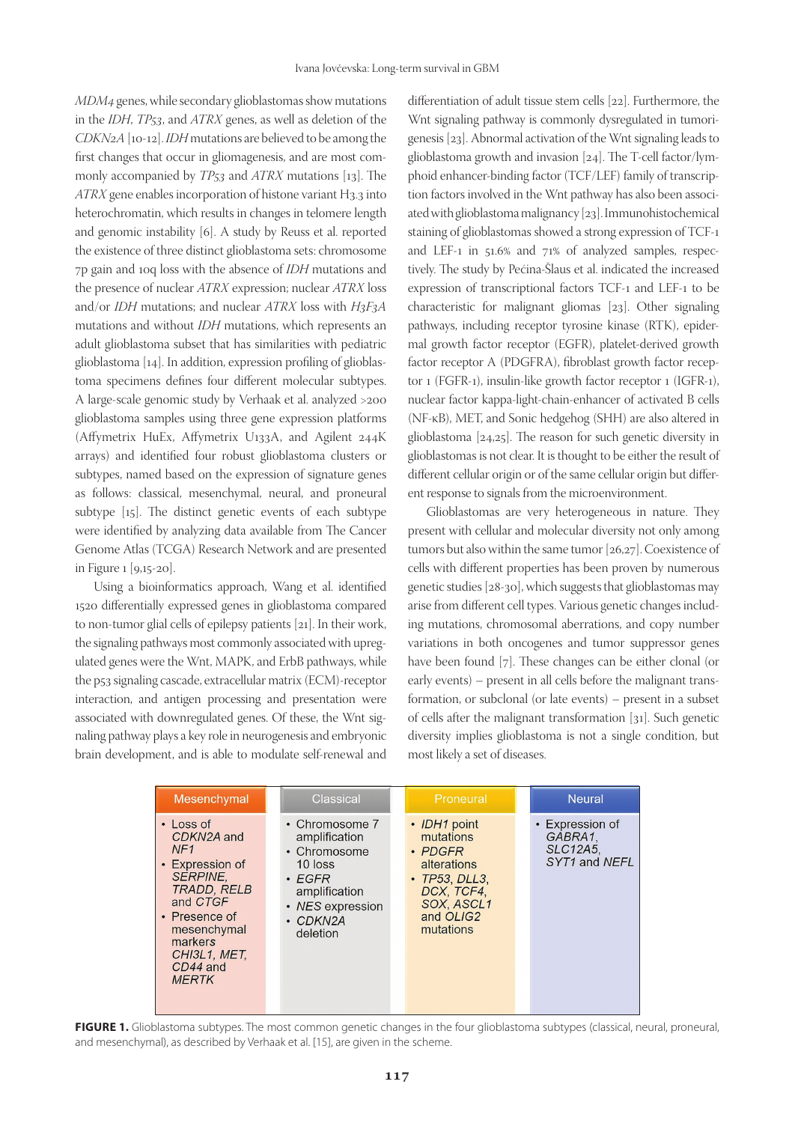*MDM4* genes,while secondary glioblastomas show mutations in the *IDH*, *TP53*, and *ATRX* genes, as well as deletion of the *CDKN2A* [10-12]. *IDH* mutations are believed to be among the first changes that occur in gliomagenesis, and are most commonly accompanied by *TP53* and *ATRX* mutations [13]. The *ATRX* gene enables incorporation of histone variant H3.3 into heterochromatin, which results in changes in telomere length and genomic instability [6]. A study by Reuss et al. reported the existence of three distinct glioblastoma sets: chromosome 7p gain and 10q loss with the absence of *IDH* mutations and the presence of nuclear *ATRX* expression; nuclear *ATRX* loss and/or *IDH* mutations; and nuclear *ATRX* loss with *H3F3A* mutations and without *IDH* mutations, which represents an adult glioblastoma subset that has similarities with pediatric glioblastoma [14]. In addition, expression profiling of glioblastoma specimens defines four different molecular subtypes. A large-scale genomic study by Verhaak et al. analyzed >200 glioblastoma samples using three gene expression platforms (Affymetrix HuEx, Affymetrix U133A, and Agilent 244K arrays) and identified four robust glioblastoma clusters or subtypes, named based on the expression of signature genes as follows: classical, mesenchymal, neural, and proneural subtype [15]. The distinct genetic events of each subtype were identified by analyzing data available from The Cancer Genome Atlas (TCGA) Research Network and are presented in Figure 1 [9,15-20].

Using a bioinformatics approach, Wang et al. identified 1520 differentially expressed genes in glioblastoma compared to non-tumor glial cells of epilepsy patients [21]. In their work, the signaling pathways most commonly associated with upregulated genes were the Wnt, MAPK, and ErbB pathways, while the p53 signaling cascade, extracellular matrix (ECM)-receptor interaction, and antigen processing and presentation were associated with downregulated genes. Of these, the Wnt signaling pathway plays a key role in neurogenesis and embryonic brain development, and is able to modulate self-renewal and

differentiation of adult tissue stem cells [22]. Furthermore, the Wnt signaling pathway is commonly dysregulated in tumorigenesis [23]. Abnormal activation of the Wnt signaling leads to glioblastoma growth and invasion [24]. The T-cell factor/lymphoid enhancer-binding factor (TCF/LEF) family of transcription factors involved in the Wnt pathway has also been associated with glioblastoma malignancy [23]. Immunohistochemical staining of glioblastomas showed a strong expression of TCF-1 and LEF-1 in 51.6% and 71% of analyzed samples, respectively. The study by Pećina-Šlaus et al. indicated the increased expression of transcriptional factors TCF-1 and LEF-1 to be characteristic for malignant gliomas [23]. Other signaling pathways, including receptor tyrosine kinase (RTK), epidermal growth factor receptor (EGFR), platelet-derived growth factor receptor A (PDGFRA), fibroblast growth factor receptor 1 (FGFR-1), insulin-like growth factor receptor 1 (IGFR-1), nuclear factor kappa-light-chain-enhancer of activated B cells (NF-κB), MET, and Sonic hedgehog (SHH) are also altered in glioblastoma [24,25]. The reason for such genetic diversity in glioblastomas is not clear. It is thought to be either the result of different cellular origin or of the same cellular origin but different response to signals from the microenvironment.

Glioblastomas are very heterogeneous in nature. They present with cellular and molecular diversity not only among tumors but also within the same tumor [26,27]. Coexistence of cells with different properties has been proven by numerous genetic studies [28-30], which suggests that glioblastomas may arise from different cell types. Various genetic changes including mutations, chromosomal aberrations, and copy number variations in both oncogenes and tumor suppressor genes have been found [7]. These changes can be either clonal (or early events) – present in all cells before the malignant transformation, or subclonal (or late events) – present in a subset of cells after the malignant transformation [31]. Such genetic diversity implies glioblastoma is not a single condition, but most likely a set of diseases.

| Mesenchymal                                                                                                                                                                                   | Classical                                                                                                                                     | Proneural                                                                                                                        | <b>Neural</b>                                                  |
|-----------------------------------------------------------------------------------------------------------------------------------------------------------------------------------------------|-----------------------------------------------------------------------------------------------------------------------------------------------|----------------------------------------------------------------------------------------------------------------------------------|----------------------------------------------------------------|
| • Loss of<br>CDKN2A and<br>NF1<br>• Expression of<br><b>SERPINE.</b><br><b>TRADD, RELB</b><br>and CTGF<br>• Presence of<br>mesenchymal<br>markers<br>CHI3L1, MET,<br>CD44 and<br><b>MERTK</b> | • Chromosome 7<br>amplification<br>• Chromosome<br>10 loss<br>$\cdot$ EGFR<br>amplification<br>• NES expression<br>$\cdot$ CDKN2A<br>deletion | • IDH1 point<br>mutations<br>• PDGFR<br>alterations<br>$\cdot$ TP53, DLL3,<br>DCX. TCF4.<br>SOX, ASCL1<br>and OLIG2<br>mutations | • Expression of<br>GABRA1.<br><b>SLC12A5.</b><br>SYT1 and NEFL |

FIGURE 1. Glioblastoma subtypes. The most common genetic changes in the four glioblastoma subtypes (classical, neural, proneural, and mesenchymal), as described by Verhaak et al. [15], are given in the scheme.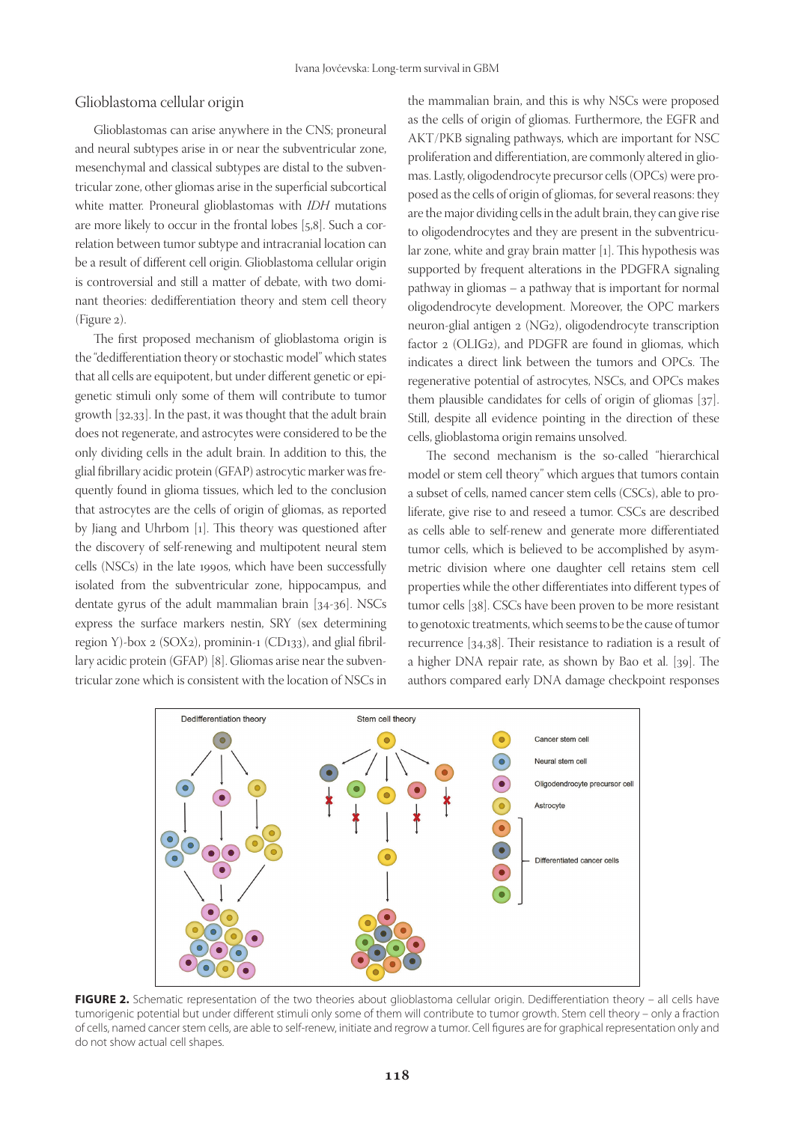#### Glioblastoma cellular origin

Glioblastomas can arise anywhere in the CNS; proneural and neural subtypes arise in or near the subventricular zone, mesenchymal and classical subtypes are distal to the subventricular zone, other gliomas arise in the superficial subcortical white matter. Proneural glioblastomas with *IDH* mutations are more likely to occur in the frontal lobes [5,8]. Such a correlation between tumor subtype and intracranial location can be a result of different cell origin. Glioblastoma cellular origin is controversial and still a matter of debate, with two dominant theories: dedifferentiation theory and stem cell theory (Figure 2).

The first proposed mechanism of glioblastoma origin is the "dedifferentiation theory or stochastic model" which states that all cells are equipotent, but under different genetic or epigenetic stimuli only some of them will contribute to tumor growth [32,33]. In the past, it was thought that the adult brain does not regenerate, and astrocytes were considered to be the only dividing cells in the adult brain. In addition to this, the glial fibrillary acidic protein (GFAP) astrocytic marker was frequently found in glioma tissues, which led to the conclusion that astrocytes are the cells of origin of gliomas, as reported by Jiang and Uhrbom [1]. This theory was questioned after the discovery of self-renewing and multipotent neural stem cells (NSCs) in the late 1990s, which have been successfully isolated from the subventricular zone, hippocampus, and dentate gyrus of the adult mammalian brain [34-36]. NSCs express the surface markers nestin, SRY (sex determining region Y)-box 2 (SOX2), prominin-1 (CD133), and glial fibrillary acidic protein (GFAP) [8]. Gliomas arise near the subventricular zone which is consistent with the location of NSCs in

the mammalian brain, and this is why NSCs were proposed as the cells of origin of gliomas. Furthermore, the EGFR and AKT/PKB signaling pathways, which are important for NSC proliferation and differentiation, are commonly altered in gliomas. Lastly, oligodendrocyte precursor cells (OPCs) were proposed as the cells of origin of gliomas, for several reasons: they are the major dividing cells in the adult brain, they can give rise to oligodendrocytes and they are present in the subventricular zone, white and gray brain matter [1]. This hypothesis was supported by frequent alterations in the PDGFRA signaling pathway in gliomas – a pathway that is important for normal oligodendrocyte development. Moreover, the OPC markers neuron-glial antigen 2 (NG2), oligodendrocyte transcription factor 2 (OLIG2), and PDGFR are found in gliomas, which indicates a direct link between the tumors and OPCs. The regenerative potential of astrocytes, NSCs, and OPCs makes them plausible candidates for cells of origin of gliomas [37]. Still, despite all evidence pointing in the direction of these cells, glioblastoma origin remains unsolved.

The second mechanism is the so-called "hierarchical model or stem cell theory" which argues that tumors contain a subset of cells, named cancer stem cells (CSCs), able to proliferate, give rise to and reseed a tumor. CSCs are described as cells able to self-renew and generate more differentiated tumor cells, which is believed to be accomplished by asymmetric division where one daughter cell retains stem cell properties while the other differentiates into different types of tumor cells [38]. CSCs have been proven to be more resistant to genotoxic treatments, which seems to be the cause of tumor recurrence [34,38]. Their resistance to radiation is a result of a higher DNA repair rate, as shown by Bao et al. [39]. The authors compared early DNA damage checkpoint responses



FIGURE 2. Schematic representation of the two theories about glioblastoma cellular origin. Dedifferentiation theory – all cells have tumorigenic potential but under different stimuli only some of them will contribute to tumor growth. Stem cell theory – only a fraction of cells, named cancer stem cells, are able to self-renew, initiate and regrow a tumor. Cell figures are for graphical representation only and do not show actual cell shapes.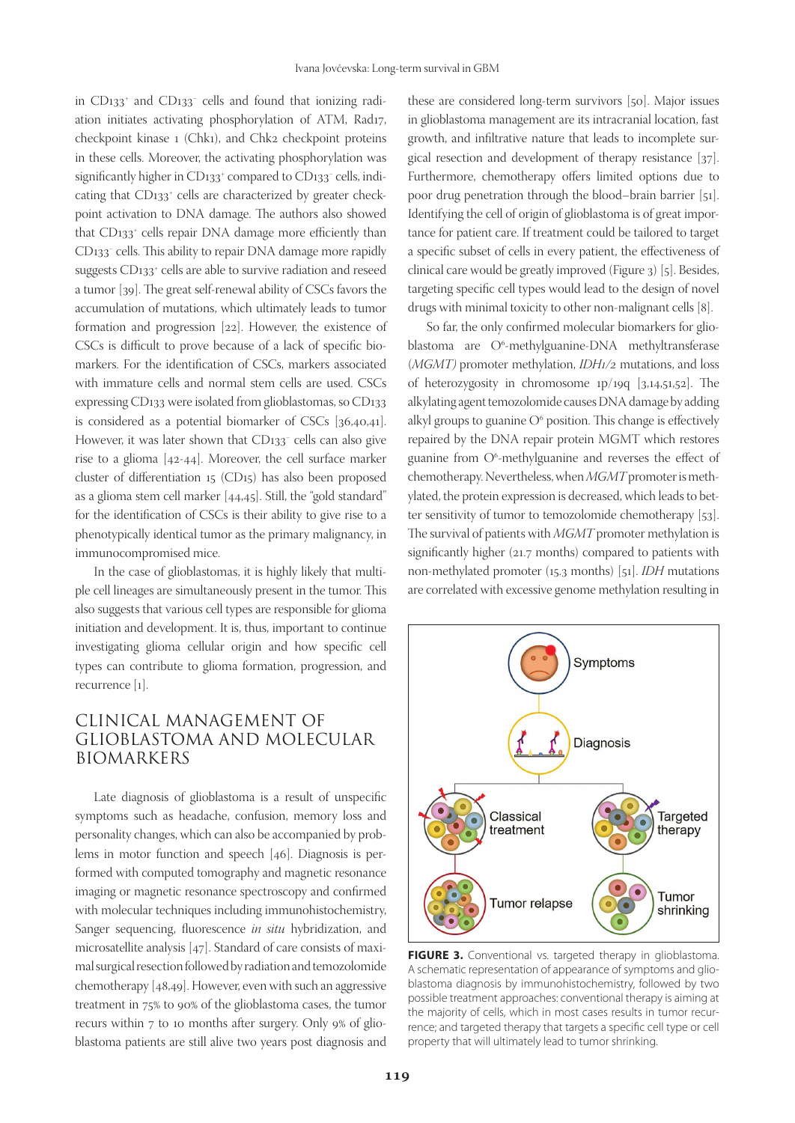in CD133+ and CD133− cells and found that ionizing radiation initiates activating phosphorylation of ATM, Rad17, checkpoint kinase 1 (Chk1), and Chk2 checkpoint proteins in these cells. Moreover, the activating phosphorylation was significantly higher in CD133+ compared to CD133− cells, indicating that CD133<sup>+</sup> cells are characterized by greater checkpoint activation to DNA damage. The authors also showed that CD133+ cells repair DNA damage more efficiently than CD133− cells. This ability to repair DNA damage more rapidly suggests CD133+ cells are able to survive radiation and reseed a tumor [39]. The great self-renewal ability of CSCs favors the accumulation of mutations, which ultimately leads to tumor formation and progression [22]. However, the existence of CSCs is difficult to prove because of a lack of specific biomarkers. For the identification of CSCs, markers associated with immature cells and normal stem cells are used. CSCs expressing CD133 were isolated from glioblastomas, so CD133 is considered as a potential biomarker of CSCs [36,40,41]. However, it was later shown that CD133− cells can also give rise to a glioma [42-44]. Moreover, the cell surface marker cluster of differentiation 15 (CD15) has also been proposed as a glioma stem cell marker [44,45]. Still, the "gold standard" for the identification of CSCs is their ability to give rise to a phenotypically identical tumor as the primary malignancy, in immunocompromised mice.

In the case of glioblastomas, it is highly likely that multiple cell lineages are simultaneously present in the tumor. This also suggests that various cell types are responsible for glioma initiation and development. It is, thus, important to continue investigating glioma cellular origin and how specific cell types can contribute to glioma formation, progression, and recurrence [1].

# CLINICAL MANAGEMENT OF GLIOBLASTOMA AND MOLECULAR BIOMARKERS

Late diagnosis of glioblastoma is a result of unspecific symptoms such as headache, confusion, memory loss and personality changes, which can also be accompanied by problems in motor function and speech [46]. Diagnosis is performed with computed tomography and magnetic resonance imaging or magnetic resonance spectroscopy and confirmed with molecular techniques including immunohistochemistry, Sanger sequencing, fluorescence *in situ* hybridization, and microsatellite analysis [47]. Standard of care consists of maximal surgical resection followed by radiation and temozolomide chemotherapy [48,49]. However, even with such an aggressive treatment in 75% to 90% of the glioblastoma cases, the tumor recurs within 7 to 10 months after surgery. Only 9% of glioblastoma patients are still alive two years post diagnosis and

these are considered long-term survivors [50]. Major issues in glioblastoma management are its intracranial location, fast growth, and infiltrative nature that leads to incomplete surgical resection and development of therapy resistance [37]. Furthermore, chemotherapy offers limited options due to poor drug penetration through the blood–brain barrier [51]. Identifying the cell of origin of glioblastoma is of great importance for patient care. If treatment could be tailored to target a specific subset of cells in every patient, the effectiveness of clinical care would be greatly improved (Figure 3) [5]. Besides, targeting specific cell types would lead to the design of novel drugs with minimal toxicity to other non-malignant cells [8].

So far, the only confirmed molecular biomarkers for glioblastoma are O<sup>6</sup>-methylguanine-DNA methyltransferase (*MGMT)* promoter methylation, *IDH1/2* mutations, and loss of heterozygosity in chromosome 1p/19q [3,14,51,52]. The alkylating agent temozolomide causes DNA damage by adding alkyl groups to guanine  $O^6$  position. This change is effectively repaired by the DNA repair protein MGMT which restores guanine from O6 -methylguanine and reverses the effect of chemotherapy. Nevertheless, when *MGMT* promoter is methylated, the protein expression is decreased, which leads to better sensitivity of tumor to temozolomide chemotherapy [53]. The survival of patients with *MGMT* promoter methylation is significantly higher (21.7 months) compared to patients with non-methylated promoter (15.3 months) [51]. *IDH* mutations are correlated with excessive genome methylation resulting in



FIGURE 3. Conventional vs. targeted therapy in glioblastoma. A schematic representation of appearance of symptoms and glioblastoma diagnosis by immunohistochemistry, followed by two possible treatment approaches: conventional therapy is aiming at the majority of cells, which in most cases results in tumor recurrence; and targeted therapy that targets a specific cell type or cell property that will ultimately lead to tumor shrinking.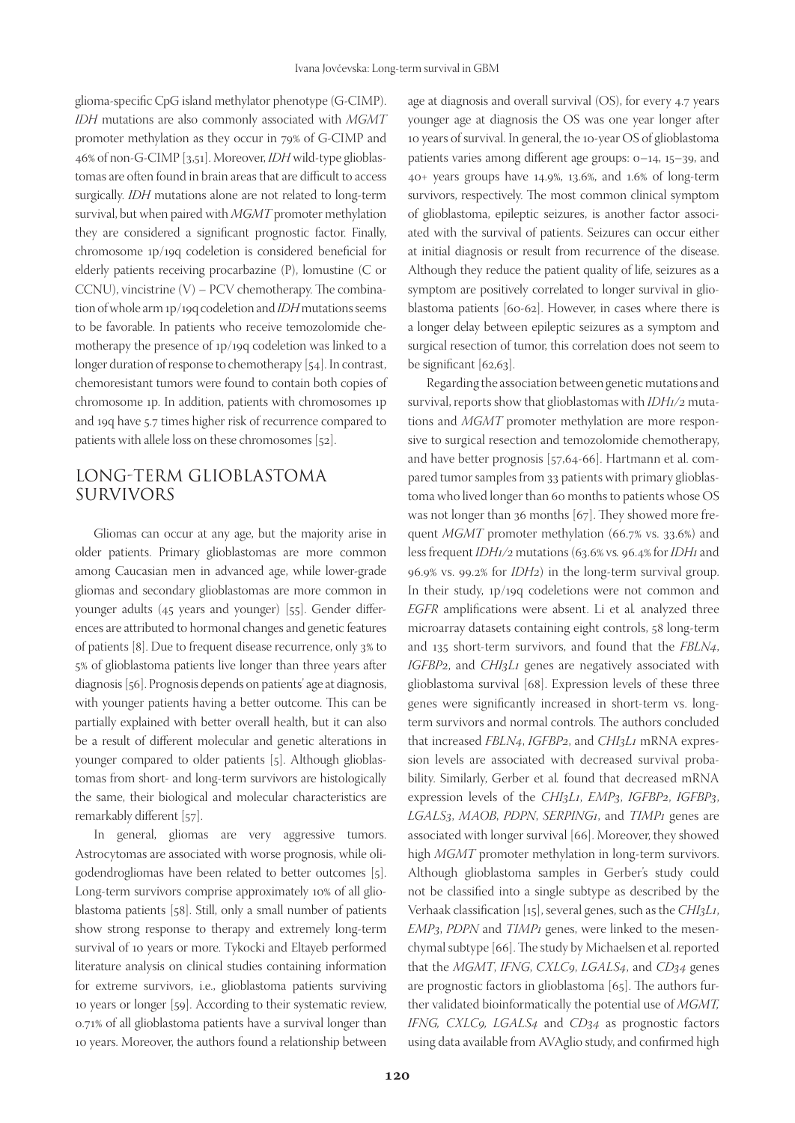glioma-specific CpG island methylator phenotype (G-CIMP). *IDH* mutations are also commonly associated with *MGMT* promoter methylation as they occur in 79% of G-CIMP and 46% of non-G-CIMP [3,51]. Moreover, *IDH* wild-type glioblastomas are often found in brain areas that are difficult to access surgically. *IDH* mutations alone are not related to long-term survival, but when paired with *MGMT* promoter methylation they are considered a significant prognostic factor. Finally, chromosome 1p/19q codeletion is considered beneficial for elderly patients receiving procarbazine (P), lomustine (C or CCNU), vincistrine (V) – PCV chemotherapy. The combination of whole arm 1p/19q codeletion and *IDH* mutations seems to be favorable. In patients who receive temozolomide chemotherapy the presence of 1p/19q codeletion was linked to a longer duration of response to chemotherapy [54]. In contrast, chemoresistant tumors were found to contain both copies of chromosome 1p. In addition, patients with chromosomes 1p and 19q have 5.7 times higher risk of recurrence compared to patients with allele loss on these chromosomes [52].

# LONG-TERM GLIOBLASTOMA SURVIVORS

Gliomas can occur at any age, but the majority arise in older patients. Primary glioblastomas are more common among Caucasian men in advanced age, while lower-grade gliomas and secondary glioblastomas are more common in younger adults (45 years and younger) [55]. Gender differences are attributed to hormonal changes and genetic features of patients [8]. Due to frequent disease recurrence, only 3% to 5% of glioblastoma patients live longer than three years after diagnosis [56]. Prognosis depends on patients' age at diagnosis, with younger patients having a better outcome. This can be partially explained with better overall health, but it can also be a result of different molecular and genetic alterations in younger compared to older patients [5]. Although glioblastomas from short- and long-term survivors are histologically the same, their biological and molecular characteristics are remarkably different [57].

In general, gliomas are very aggressive tumors. Astrocytomas are associated with worse prognosis, while oligodendrogliomas have been related to better outcomes [5]. Long-term survivors comprise approximately 10% of all glioblastoma patients [58]. Still, only a small number of patients show strong response to therapy and extremely long-term survival of 10 years or more. Tykocki and Eltayeb performed literature analysis on clinical studies containing information for extreme survivors, i.e., glioblastoma patients surviving 10 years or longer [59]. According to their systematic review, 0.71% of all glioblastoma patients have a survival longer than 10 years. Moreover, the authors found a relationship between

age at diagnosis and overall survival (OS), for every 4.7 years younger age at diagnosis the OS was one year longer after 10 years of survival. In general, the 10-year OS of glioblastoma patients varies among different age groups: 0–14, 15–39, and 40+ years groups have 14.9%, 13.6%, and 1.6% of long-term survivors, respectively. The most common clinical symptom of glioblastoma, epileptic seizures, is another factor associated with the survival of patients. Seizures can occur either at initial diagnosis or result from recurrence of the disease. Although they reduce the patient quality of life, seizures as a symptom are positively correlated to longer survival in glioblastoma patients [60-62]. However, in cases where there is a longer delay between epileptic seizures as a symptom and surgical resection of tumor, this correlation does not seem to be significant [62,63].

Regarding the association between genetic mutations and survival, reports show that glioblastomas with *IDH1/2* mutations and *MGMT* promoter methylation are more responsive to surgical resection and temozolomide chemotherapy, and have better prognosis [57,64-66]. Hartmann et al. compared tumor samples from 33 patients with primary glioblastoma who lived longer than 60 months to patients whose OS was not longer than 36 months [67]. They showed more frequent *MGMT* promoter methylation (66.7% vs. 33.6%) and less frequent *IDH1/2* mutations (63.6% vs*.* 96.4% for *IDH1* and 96.9% vs. 99.2% for *IDH2*) in the long-term survival group. In their study, 1p/19q codeletions were not common and *EGFR* amplifications were absent. Li et al*.* analyzed three microarray datasets containing eight controls, 58 long-term and 135 short-term survivors, and found that the *FBLN4*, *IGFBP2*, and *CHI3L1* genes are negatively associated with glioblastoma survival [68]. Expression levels of these three genes were significantly increased in short-term vs. longterm survivors and normal controls. The authors concluded that increased *FBLN4*, *IGFBP2*, and *CHI3L1* mRNA expression levels are associated with decreased survival probability. Similarly, Gerber et al*.* found that decreased mRNA expression levels of the *CHI3L1*, *EMP3*, *IGFBP2*, *IGFBP3*, *LGALS3*, *MAOB*, *PDPN*, *SERPING1*, and *TIMP1* genes are associated with longer survival [66]. Moreover, they showed high *MGMT* promoter methylation in long-term survivors. Although glioblastoma samples in Gerber's study could not be classified into a single subtype as described by the Verhaak classification [15], several genes, such as the *CHI3L1*, *EMP3*, *PDPN* and *TIMP1* genes, were linked to the mesenchymal subtype [66]. The study by Michaelsen et al. reported that the *MGMT*, *IFNG*, *CXLC9*, *LGALS4*, and *CD34* genes are prognostic factors in glioblastoma [65]. The authors further validated bioinformatically the potential use of *MGMT, IFNG, CXLC9, LGALS4* and *CD34* as prognostic factors using data available from AVAglio study, and confirmed high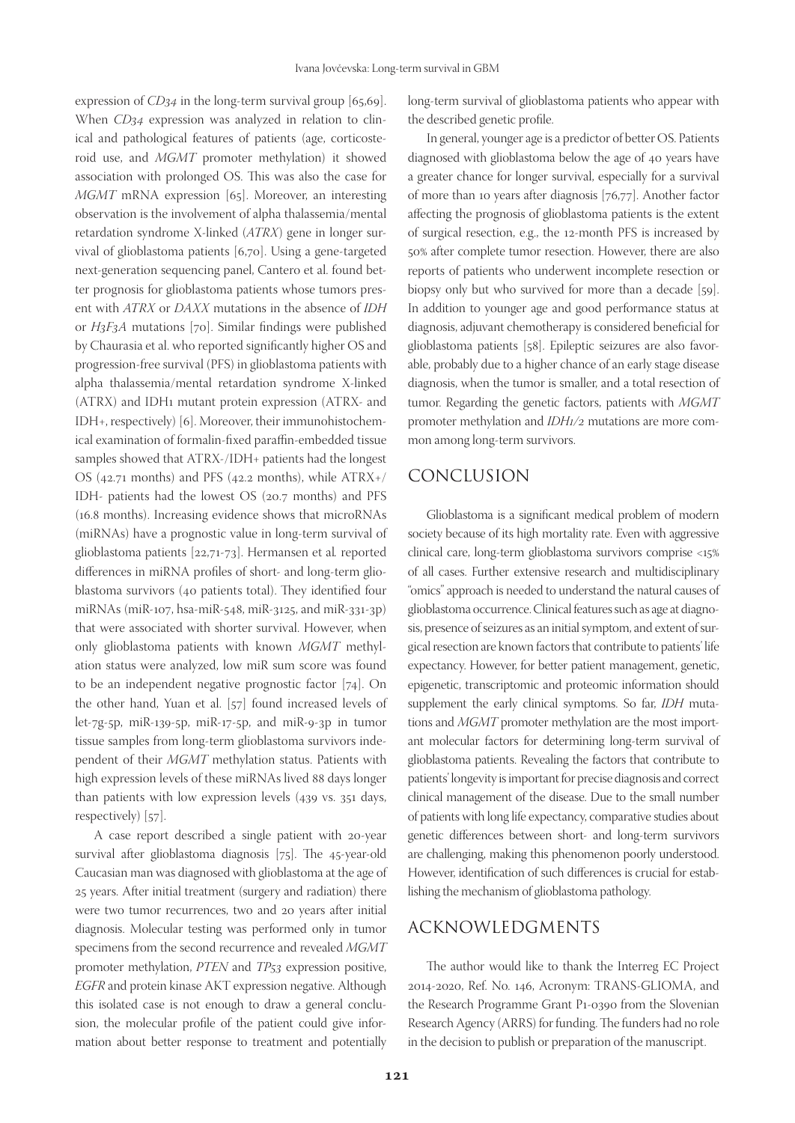expression of *CD34* in the long-term survival group [65,69]. When *CD34* expression was analyzed in relation to clinical and pathological features of patients (age, corticosteroid use, and *MGMT* promoter methylation) it showed association with prolonged OS. This was also the case for *MGMT* mRNA expression [65]. Moreover, an interesting observation is the involvement of alpha thalassemia/mental retardation syndrome X-linked (*ATRX*) gene in longer survival of glioblastoma patients [6,70]. Using a gene-targeted next-generation sequencing panel, Cantero et al. found better prognosis for glioblastoma patients whose tumors present with *ATRX* or *DAXX* mutations in the absence of *IDH* or *H3F3A* mutations [70]. Similar findings were published by Chaurasia et al. who reported significantly higher OS and progression-free survival (PFS) in glioblastoma patients with alpha thalassemia/mental retardation syndrome X-linked (ATRX) and IDH1 mutant protein expression (ATRX- and IDH+, respectively) [6]. Moreover, their immunohistochemical examination of formalin-fixed paraffin-embedded tissue samples showed that ATRX-/IDH+ patients had the longest OS (42.71 months) and PFS (42.2 months), while  $ATRX+/$ IDH- patients had the lowest OS (20.7 months) and PFS (16.8 months). Increasing evidence shows that microRNAs (miRNAs) have a prognostic value in long-term survival of glioblastoma patients [22,71-73]. Hermansen et al*.* reported differences in miRNA profiles of short- and long-term glioblastoma survivors (40 patients total). They identified four miRNAs (miR-107, hsa-miR-548, miR-3125, and miR-331-3p) that were associated with shorter survival. However, when only glioblastoma patients with known *MGMT* methylation status were analyzed, low miR sum score was found to be an independent negative prognostic factor [74]. On the other hand, Yuan et al. [57] found increased levels of let-7g-5p, miR-139-5p, miR-17-5p, and miR-9-3p in tumor tissue samples from long-term glioblastoma survivors independent of their *MGMT* methylation status. Patients with high expression levels of these miRNAs lived 88 days longer than patients with low expression levels (439 vs. 351 days, respectively) [57].

A case report described a single patient with 20-year survival after glioblastoma diagnosis [75]. The 45-year-old Caucasian man was diagnosed with glioblastoma at the age of 25 years. After initial treatment (surgery and radiation) there were two tumor recurrences, two and 20 years after initial diagnosis. Molecular testing was performed only in tumor specimens from the second recurrence and revealed *MGMT* promoter methylation, *PTEN* and *TP53* expression positive, *EGFR* and protein kinase AKT expression negative. Although this isolated case is not enough to draw a general conclusion, the molecular profile of the patient could give information about better response to treatment and potentially

long-term survival of glioblastoma patients who appear with the described genetic profile.

In general, younger age is a predictor of better OS. Patients diagnosed with glioblastoma below the age of 40 years have a greater chance for longer survival, especially for a survival of more than 10 years after diagnosis [76,77]. Another factor affecting the prognosis of glioblastoma patients is the extent of surgical resection, e.g., the 12-month PFS is increased by 50% after complete tumor resection. However, there are also reports of patients who underwent incomplete resection or biopsy only but who survived for more than a decade [59]. In addition to younger age and good performance status at diagnosis, adjuvant chemotherapy is considered beneficial for glioblastoma patients [58]. Epileptic seizures are also favorable, probably due to a higher chance of an early stage disease diagnosis, when the tumor is smaller, and a total resection of tumor. Regarding the genetic factors, patients with *MGMT* promoter methylation and *IDH1/2* mutations are more common among long-term survivors.

## CONCLUSION

Glioblastoma is a significant medical problem of modern society because of its high mortality rate. Even with aggressive clinical care, long-term glioblastoma survivors comprise <15% of all cases. Further extensive research and multidisciplinary "omics" approach is needed to understand the natural causes of glioblastoma occurrence. Clinical features such as age at diagnosis, presence of seizures as an initial symptom, and extent of surgical resection are known factors that contribute to patients' life expectancy. However, for better patient management, genetic, epigenetic, transcriptomic and proteomic information should supplement the early clinical symptoms. So far, *IDH* mutations and *MGMT* promoter methylation are the most important molecular factors for determining long-term survival of glioblastoma patients. Revealing the factors that contribute to patients' longevity is important for precise diagnosis and correct clinical management of the disease. Due to the small number of patients with long life expectancy, comparative studies about genetic differences between short- and long-term survivors are challenging, making this phenomenon poorly understood. However, identification of such differences is crucial for establishing the mechanism of glioblastoma pathology.

## ACKNOWLEDGMENTS

The author would like to thank the Interreg EC Project 2014-2020, Ref. No. 146, Acronym: TRANS-GLIOMA, and the Research Programme Grant P1-0390 from the Slovenian Research Agency (ARRS) for funding. The funders had no role in the decision to publish or preparation of the manuscript.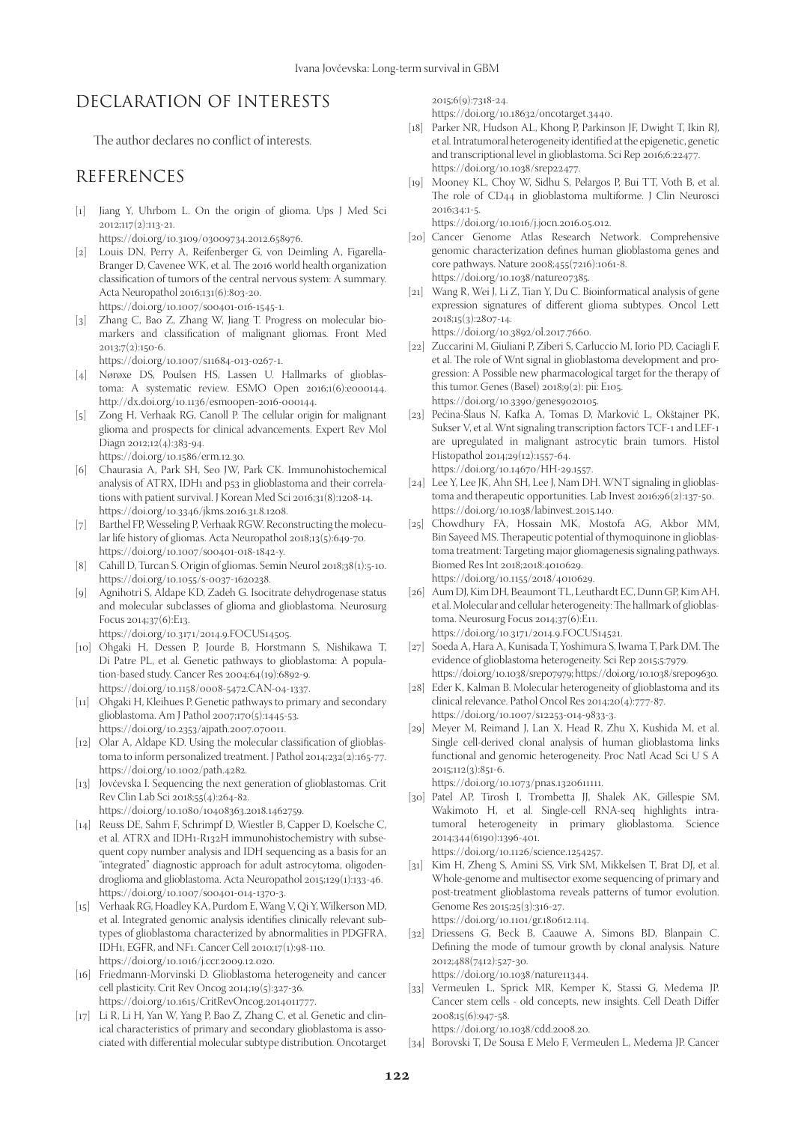# DECLARATION OF INTERESTS

The author declares no conflict of interests.

## **REFERENCES**

- [1] Jiang Y, Uhrbom L. On the origin of glioma. Ups J Med Sci  $2012;117(2):113-21.$
- https://doi.org/10.3109/03009734.2012.658976.
- [2] Louis DN, Perry A, Reifenberger G, von Deimling A, Figarella-Branger D, Cavenee WK, et al. The 2016 world health organization classification of tumors of the central nervous system: A summary. Acta Neuropathol 2016;131(6):803-20. https://doi.org/10.1007/s00401-016-1545-1.
- [3] Zhang C, Bao Z, Zhang W, Jiang T. Progress on molecular biomarkers and classification of malignant gliomas. Front Med 2013;7(2):150-6.

https://doi.org/10.1007/s11684-013-0267-1.

- [4] Nørøxe DS, Poulsen HS, Lassen U. Hallmarks of glioblastoma: A systematic review. ESMO Open 2016;1(6):e000144. http://dx.doi.org/10.1136/esmoopen-2016-000144.
- [5] Zong H, Verhaak RG, Canoll P. The cellular origin for malignant glioma and prospects for clinical advancements. Expert Rev Mol Diagn 2012;12(4):383-94.
	- https://doi.org/10.1586/erm.12.30.
- [6] Chaurasia A, Park SH, Seo JW, Park CK. Immunohistochemical analysis of ATRX, IDH1 and p53 in glioblastoma and their correlations with patient survival. J Korean Med Sci 2016;31(8):1208-14. https://doi.org/10.3346/jkms.2016.31.8.1208.
- [7] Barthel FP, Wesseling P, Verhaak RGW. Reconstructing the molecular life history of gliomas. Acta Neuropathol 2018;13(5):649-70. https://doi.org/10.1007/s00401-018-1842-y.
- [8] Cahill D, Turcan S. Origin of gliomas. Semin Neurol 2018;38(1):5-10. https://doi.org/10.1055/s-0037-1620238.
- [9] Agnihotri S, Aldape KD, Zadeh G. Isocitrate dehydrogenase status and molecular subclasses of glioma and glioblastoma. Neurosurg Focus 2014;37(6):E13.

https://doi.org/10.3171/2014.9.FOCUS14505.

- [10] Ohgaki H, Dessen P, Jourde B, Horstmann S, Nishikawa T, Di Patre PL, et al. Genetic pathways to glioblastoma: A population-based study. Cancer Res 2004;64(19):6892-9. https://doi.org/10.1158/0008-5472.CAN-04-1337.
- [11] Ohgaki H, Kleihues P. Genetic pathways to primary and secondary glioblastoma. Am J Pathol 2007;170(5):1445-53. https://doi.org/10.2353/ajpath.2007.070011.
- [12] Olar A, Aldape KD. Using the molecular classification of glioblastoma to inform personalized treatment. J Pathol 2014;232(2):165-77. https://doi.org/10.1002/path.4282.
- [13] Jovčevska I. Sequencing the next generation of glioblastomas. Crit Rev Clin Lab Sci 2018;55(4):264-82.

https://doi.org/10.1080/10408363.2018.1462759.

- [14] Reuss DE, Sahm F, Schrimpf D, Wiestler B, Capper D, Koelsche C, et al. ATRX and IDH1-R132H immunohistochemistry with subsequent copy number analysis and IDH sequencing as a basis for an "integrated" diagnostic approach for adult astrocytoma, oligodendroglioma and glioblastoma. Acta Neuropathol 2015;129(1):133-46. https://doi.org/10.1007/s00401-014-1370-3.
- [15] Verhaak RG, Hoadley KA, Purdom E, Wang V, Qi Y, Wilkerson MD, et al. Integrated genomic analysis identifies clinically relevant subtypes of glioblastoma characterized by abnormalities in PDGFRA, IDH1, EGFR, and NF1. Cancer Cell 2010;17(1):98-110. https://doi.org/10.1016/j.ccr.2009.12.020.
- [16] Friedmann-Morvinski D. Glioblastoma heterogeneity and cancer cell plasticity. Crit Rev Oncog 2014;19(5):327-36. https://doi.org/10.1615/CritRevOncog.2014011777.
- [17] Li R, Li H, Yan W, Yang P, Bao Z, Zhang C, et al. Genetic and clinical characteristics of primary and secondary glioblastoma is associated with differential molecular subtype distribution. Oncotarget

2015;6(9):7318-24.

https://doi.org/10.18632/oncotarget.3440.

- [18] Parker NR, Hudson AL, Khong P, Parkinson JF, Dwight T, Ikin RJ, et al. Intratumoral heterogeneity identified at the epigenetic, genetic and transcriptional level in glioblastoma. Sci Rep 2016;6:22477. https://doi.org/10.1038/srep22477.
- [19] Mooney KL, Choy W, Sidhu S, Pelargos P, Bui TT, Voth B, et al. The role of CD44 in glioblastoma multiforme. J Clin Neurosci 2016;34:1-5.
- https://doi.org/10.1016/j.jocn.2016.05.012. [20] Cancer Genome Atlas Research Network. Comprehensive genomic characterization defines human glioblastoma genes and core pathways. Nature 2008;455(7216):1061-8. https://doi.org/10.1038/nature07385.
- [21] Wang R, Wei J, Li Z, Tian Y, Du C. Bioinformatical analysis of gene expression signatures of different glioma subtypes. Oncol Lett 2018;15(3):2807-14.

https://doi.org/10.3892/ol.2017.7660.

- [22] Zuccarini M, Giuliani P, Ziberi S, Carluccio M, Iorio PD, Caciagli F, et al. The role of Wnt signal in glioblastoma development and progression: A Possible new pharmacological target for the therapy of this tumor. Genes (Basel) 2018;9(2): pii: E105. https://doi.org/10.3390/genes9020105.
- [23] Pećina-Šlaus N, Kafka A, Tomas D, Marković L, Okštajner PK, Sukser V, et al. Wnt signaling transcription factors TCF-1 and LEF-1 are upregulated in malignant astrocytic brain tumors. Histol Histopathol 2014;29(12):1557-64. https://doi.org/10.14670/HH-29.1557.
- [24] Lee Y, Lee JK, Ahn SH, Lee J, Nam DH. WNT signaling in glioblastoma and therapeutic opportunities. Lab Invest 2016;96(2):137-50. https://doi.org/10.1038/labinvest.2015.140.
- [25] Chowdhury FA, Hossain MK, Mostofa AG, Akbor MM, Bin Sayeed MS. Therapeutic potential of thymoquinone in glioblastoma treatment: Targeting major gliomagenesis signaling pathways. Biomed Res Int 2018;2018:4010629. https://doi.org/10.1155/2018/4010629.
- [26] Aum DJ, Kim DH, Beaumont TL, Leuthardt EC, Dunn GP, Kim AH, et al. Molecular and cellular heterogeneity: The hallmark of glioblastoma. Neurosurg Focus 2014;37(6):E11. https://doi.org/10.3171/2014.9.FOCUS14521.
- [27] Soeda A, Hara A, Kunisada T, Yoshimura S, Iwama T, Park DM. The evidence of glioblastoma heterogeneity. Sci Rep 2015;5:7979. https://doi.org/10.1038/srep07979; https://doi.org/10.1038/srep09630.
- [28] Eder K, Kalman B. Molecular heterogeneity of glioblastoma and its clinical relevance. Pathol Oncol Res 2014;20(4):777-87. https://doi.org/10.1007/s12253-014-9833-3.
- [29] Meyer M, Reimand J, Lan X, Head R, Zhu X, Kushida M, et al. Single cell-derived clonal analysis of human glioblastoma links functional and genomic heterogeneity. Proc Natl Acad Sci U S A 2015;112(3):851-6.

https://doi.org/10.1073/pnas.1320611111.

[30] Patel AP, Tirosh I, Trombetta JJ, Shalek AK, Gillespie SM, Wakimoto H, et al. Single-cell RNA-seq highlights intratumoral heterogeneity in primary glioblastoma. Science 2014;344(6190):1396-401.

https://doi.org/10.1126/science.1254257.

- [31] Kim H, Zheng S, Amini SS, Virk SM, Mikkelsen T, Brat DJ, et al. Whole-genome and multisector exome sequencing of primary and post-treatment glioblastoma reveals patterns of tumor evolution. Genome Res 2015;25(3):316-27. https://doi.org/10.1101/gr.180612.114.
- [32] Driessens G, Beck B, Caauwe A, Simons BD, Blanpain C. Defining the mode of tumour growth by clonal analysis. Nature 2012;488(7412):527-30. https://doi.org/10.1038/nature11344.
- [33] Vermeulen L, Sprick MR, Kemper K, Stassi G, Medema JP. Cancer stem cells - old concepts, new insights. Cell Death Differ 2008;15(6):947-58. https://doi.org/10.1038/cdd.2008.20.

[34] Borovski T, De Sousa E Melo F, Vermeulen L, Medema JP. Cancer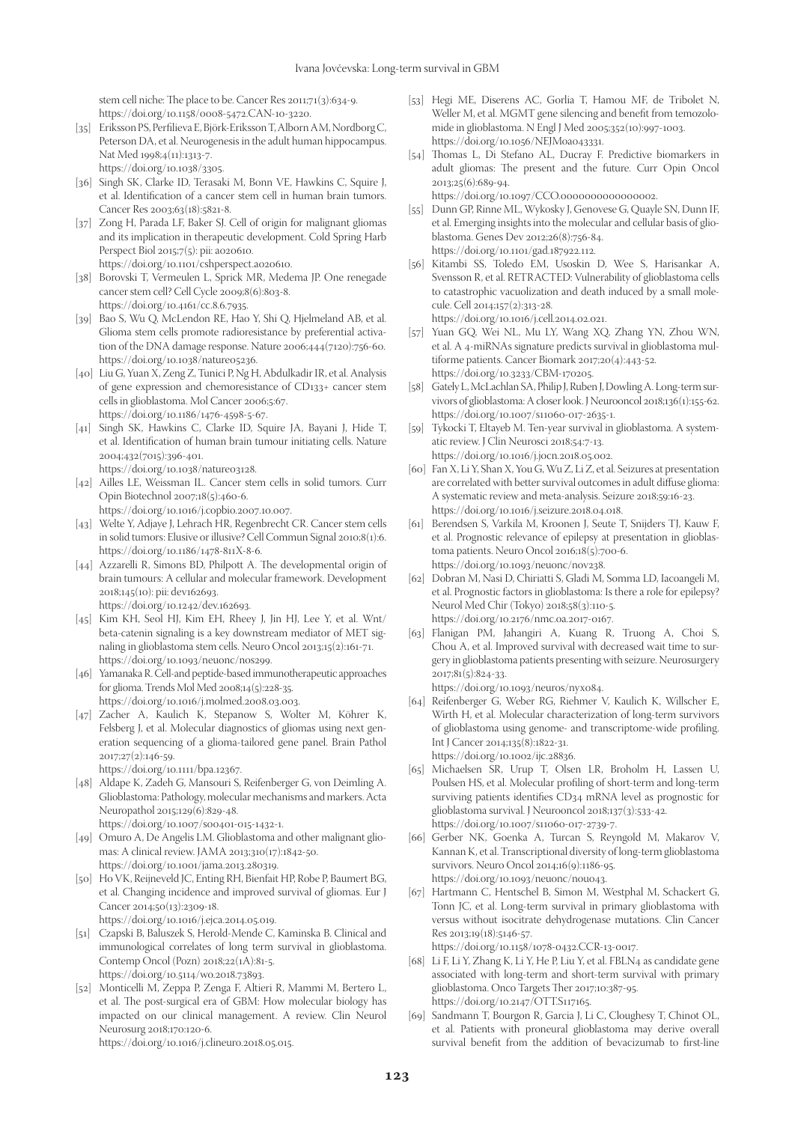stem cell niche: The place to be. Cancer Res 2011;71(3):634-9. https://doi.org/10.1158/0008-5472.CAN-10-3220.

[35] Eriksson PS, Perfilieva E, Björk-Eriksson T, Alborn AM, Nordborg C, Peterson DA, et al. Neurogenesis in the adult human hippocampus. Nat Med 1998;4(11):1313-7.

https://doi.org/10.1038/3305.

- [36] Singh SK, Clarke ID, Terasaki M, Bonn VE, Hawkins C, Squire J, et al. Identification of a cancer stem cell in human brain tumors. Cancer Res 2003;63(18):5821-8.
- [37] Zong H, Parada LF, Baker SJ. Cell of origin for malignant gliomas and its implication in therapeutic development. Cold Spring Harb Perspect Biol 2015;7(5): pii: a020610. https://doi.org/10.1101/cshperspect.a020610.
- [38] Borovski T, Vermeulen L, Sprick MR, Medema JP. One renegade cancer stem cell? Cell Cycle 2009;8(6):803-8. https://doi.org/10.4161/cc.8.6.7935.
- [39] Bao S, Wu Q, McLendon RE, Hao Y, Shi Q, Hjelmeland AB, et al. Glioma stem cells promote radioresistance by preferential activation of the DNA damage response. Nature 2006;444(7120):756-60. https://doi.org/10.1038/nature05236.
- [40] Liu G, Yuan X, Zeng Z, Tunici P, Ng H, Abdulkadir IR, et al. Analysis of gene expression and chemoresistance of CD133+ cancer stem cells in glioblastoma. Mol Cancer 2006;5:67. https://doi.org/10.1186/1476-4598-5-67.
- [41] Singh SK, Hawkins C, Clarke ID, Squire JA, Bayani J, Hide T, et al. Identification of human brain tumour initiating cells. Nature 2004;432(7015):396-401. https://doi.org/10.1038/nature03128.
- [42] Ailles LE, Weissman IL. Cancer stem cells in solid tumors. Curr Opin Biotechnol 2007;18(5):460-6.
- https://doi.org/10.1016/j.copbio.2007.10.007. [43] Welte Y, Adjaye J, Lehrach HR, Regenbrecht CR. Cancer stem cells in solid tumors: Elusive or illusive? Cell Commun Signal 2010;8(1):6.
- https://doi.org/10.1186/1478-811X-8-6. [44] Azzarelli R, Simons BD, Philpott A. The developmental origin of brain tumours: A cellular and molecular framework. Development 2018;145(10): pii: dev162693. https://doi.org/10.1242/dev.162693.
- [45] Kim KH, Seol HJ, Kim EH, Rheey J, Jin HJ, Lee Y, et al. Wnt/ beta-catenin signaling is a key downstream mediator of MET signaling in glioblastoma stem cells. Neuro Oncol 2013;15(2):161-71. https://doi.org/10.1093/neuonc/nos299.
- [46] Yamanaka R. Cell-and peptide-based immunotherapeutic approaches for glioma. Trends Mol Med 2008;14(5):228-35. https://doi.org/10.1016/j.molmed.2008.03.003.
- [47] Zacher A, Kaulich K, Stepanow S, Wolter M, Köhrer K, Felsberg J, et al. Molecular diagnostics of gliomas using next generation sequencing of a glioma-tailored gene panel. Brain Pathol 2017;27(2):146-59.

https://doi.org/10.1111/bpa.12367.

[48] Aldape K, Zadeh G, Mansouri S, Reifenberger G, von Deimling A. Glioblastoma: Pathology, molecular mechanisms and markers. Acta Neuropathol 2015;129(6):829-48.

https://doi.org/10.1007/s00401-015-1432-1.

- [49] Omuro A, De Angelis LM. Glioblastoma and other malignant gliomas: A clinical review. JAMA 2013;310(17):1842-50. https://doi.org/10.1001/jama.2013.280319.
- [50] Ho VK, Reijneveld JC, Enting RH, Bienfait HP, Robe P, Baumert BG, et al. Changing incidence and improved survival of gliomas. Eur J Cancer 2014;50(13):2309-18. https://doi.org/10.1016/j.ejca.2014.05.019.
- [51] Czapski B, Baluszek S, Herold-Mende C, Kaminska B. Clinical and immunological correlates of long term survival in glioblastoma. Contemp Oncol (Pozn) 2018;22(1A):81-5.
- https://doi.org/10.5114/wo.2018.73893. [52] Monticelli M, Zeppa P, Zenga F, Altieri R, Mammi M, Bertero L, et al. The post-surgical era of GBM: How molecular biology has impacted on our clinical management. A review. Clin Neurol Neurosurg 2018;170:120-6.

https://doi.org/10.1016/j.clineuro.2018.05.015.

- [53] Hegi ME, Diserens AC, Gorlia T, Hamou MF, de Tribolet N, Weller M, et al. MGMT gene silencing and benefit from temozolomide in glioblastoma. N Engl J Med 2005;352(10):997-1003. https://doi.org/10.1056/NEJMoa043331.
- [54] Thomas L, Di Stefano AL, Ducray F. Predictive biomarkers in adult gliomas: The present and the future. Curr Opin Oncol 2013;25(6):689-94. https://doi.org/10.1097/CCO.0000000000000002.
- [55] Dunn GP, Rinne ML, Wykosky J, Genovese G, Quayle SN, Dunn IF, et al. Emerging insights into the molecular and cellular basis of glioblastoma. Genes Dev 2012;26(8):756-84. https://doi.org/10.1101/gad.187922.112.
- [56] Kitambi SS, Toledo EM, Usoskin D, Wee S, Harisankar A, Svensson R, et al. RETRACTED: Vulnerability of glioblastoma cells to catastrophic vacuolization and death induced by a small molecule. Cell 2014;157(2):313-28. https://doi.org/10.1016/j.cell.2014.02.021.
- [57] Yuan GQ, Wei NL, Mu LY, Wang XQ, Zhang YN, Zhou WN, et al. A 4-miRNAs signature predicts survival in glioblastoma multiforme patients. Cancer Biomark 2017;20(4):443-52. https://doi.org/10.3233/CBM-170205.
- [58] Gately L, McLachlan SA, Philip J, Ruben J, Dowling A. Long-term survivors of glioblastoma: A closer look. J Neurooncol 2018;136(1):155-62. https://doi.org/10.1007/s11060-017-2635-1.
- [59] Tykocki T, Eltayeb M. Ten-year survival in glioblastoma. A systematic review. J Clin Neurosci 2018;54:7-13. https://doi.org/10.1016/j.jocn.2018.05.002.
- [60] Fan X, Li Y, Shan X, You G, Wu Z, Li Z, et al. Seizures at presentation are correlated with better survival outcomes in adult diffuse glioma: A systematic review and meta-analysis. Seizure 2018;59:16-23. https://doi.org/10.1016/j.seizure.2018.04.018.
- [61] Berendsen S, Varkila M, Kroonen J, Seute T, Snijders TJ, Kauw F, et al. Prognostic relevance of epilepsy at presentation in glioblastoma patients. Neuro Oncol 2016;18(5):700-6. https://doi.org/10.1093/neuonc/nov238.
- [62] Dobran M, Nasi D, Chiriatti S, Gladi M, Somma LD, Iacoangeli M, et al. Prognostic factors in glioblastoma: Is there a role for epilepsy? Neurol Med Chir (Tokyo) 2018;58(3):110-5. https://doi.org/10.2176/nmc.oa.2017-0167.
- [63] Flanigan PM, Jahangiri A, Kuang R, Truong A, Choi S, Chou A, et al. Improved survival with decreased wait time to surgery in glioblastoma patients presenting with seizure. Neurosurgery 2017;81(5):824-33. https://doi.org/10.1093/neuros/nyx084.
- [64] Reifenberger G, Weber RG, Riehmer V, Kaulich K, Willscher E, Wirth H, et al. Molecular characterization of long-term survivors of glioblastoma using genome- and transcriptome-wide profiling. Int J Cancer 2014;135(8):1822-31. https://doi.org/10.1002/ijc.28836.
- [65] Michaelsen SR, Urup T, Olsen LR, Broholm H, Lassen U, Poulsen HS, et al. Molecular profiling of short-term and long-term surviving patients identifies CD34 mRNA level as prognostic for glioblastoma survival. J Neurooncol 2018;137(3):533-42. https://doi.org/10.1007/s11060-017-2739-7.
- [66] Gerber NK, Goenka A, Turcan S, Reyngold M, Makarov V, Kannan K, et al. Transcriptional diversity of long-term glioblastoma survivors. Neuro Oncol 2014;16(9):1186-95. https://doi.org/10.1093/neuonc/nou043.
- [67] Hartmann C, Hentschel B, Simon M, Westphal M, Schackert G, Tonn JC, et al. Long-term survival in primary glioblastoma with versus without isocitrate dehydrogenase mutations. Clin Cancer Res 2013;19(18):5146-57.

https://doi.org/10.1158/1078-0432.CCR-13-0017.

- [68] Li F, Li Y, Zhang K, Li Y, He P, Liu Y, et al. FBLN4 as candidate gene associated with long-term and short-term survival with primary glioblastoma. Onco Targets Ther 2017;10:387-95. https://doi.org/10.2147/OTT.S117165.
- [69] Sandmann T, Bourgon R, Garcia J, Li C, Cloughesy T, Chinot OL, et al. Patients with proneural glioblastoma may derive overall survival benefit from the addition of bevacizumab to first-line